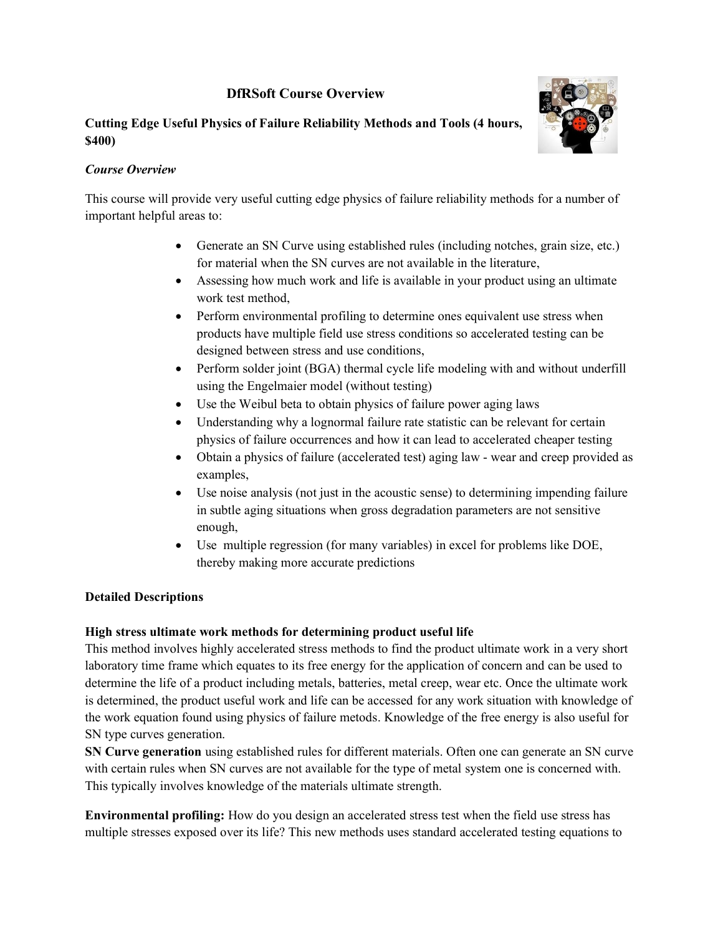# **DfRSoft Course Overview**

### **Cutting Edge Useful Physics of Failure Reliability Methods and Tools (4 hours, \$400)**



### *Course Overview*

This course will provide very useful cutting edge physics of failure reliability methods for a number of important helpful areas to:

- Generate an SN Curve using established rules (including notches, grain size, etc.) for material when the SN curves are not available in the literature,
- Assessing how much work and life is available in your product using an ultimate work test method,
- Perform environmental profiling to determine ones equivalent use stress when products have multiple field use stress conditions so accelerated testing can be designed between stress and use conditions,
- Perform solder joint (BGA) thermal cycle life modeling with and without underfill using the Engelmaier model (without testing)
- Use the Weibul beta to obtain physics of failure power aging laws
- Understanding why a lognormal failure rate statistic can be relevant for certain physics of failure occurrences and how it can lead to accelerated cheaper testing
- Obtain a physics of failure (accelerated test) aging law wear and creep provided as examples,
- Use noise analysis (not just in the acoustic sense) to determining impending failure in subtle aging situations when gross degradation parameters are not sensitive enough,
- Use multiple regression (for many variables) in excel for problems like DOE, thereby making more accurate predictions

## **Detailed Descriptions**

## **High stress ultimate work methods for determining product useful life**

This method involves highly accelerated stress methods to find the product ultimate work in a very short laboratory time frame which equates to its free energy for the application of concern and can be used to determine the life of a product including metals, batteries, metal creep, wear etc. Once the ultimate work is determined, the product useful work and life can be accessed for any work situation with knowledge of the work equation found using physics of failure metods. Knowledge of the free energy is also useful for SN type curves generation.

**SN Curve generation** using established rules for different materials. Often one can generate an SN curve with certain rules when SN curves are not available for the type of metal system one is concerned with. This typically involves knowledge of the materials ultimate strength.

**Environmental profiling:** How do you design an accelerated stress test when the field use stress has multiple stresses exposed over its life? This new methods uses standard accelerated testing equations to